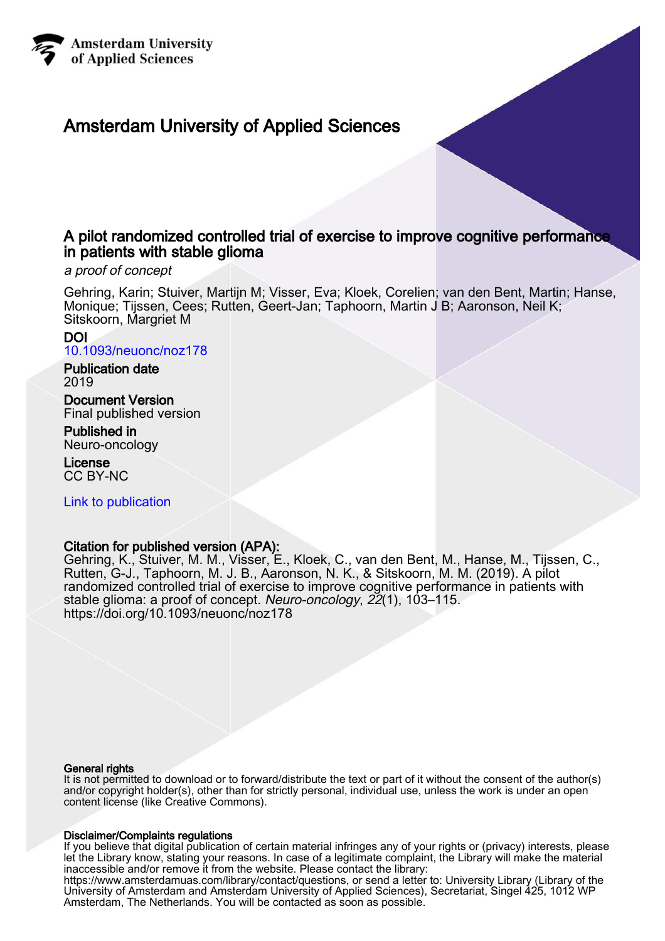

# Amsterdam University of Applied Sciences

# A pilot randomized controlled trial of exercise to improve cognitive performance in patients with stable glioma

a proof of concept

Gehring, Karin; Stuiver, Martijn M; Visser, Eva; Kloek, Corelien; van den Bent, Martin; Hanse, Monique; Tijssen, Cees; Rutten, Geert-Jan; Taphoorn, Martin J B; Aaronson, Neil K; Sitskoorn, Margriet M

DOI [10.1093/neuonc/noz178](https://doi.org/10.1093/neuonc/noz178)

Publication date 2019

Document Version Final published version

Published in Neuro-oncology

License CC BY-NC

[Link to publication](https://research.hva.nl/en/publications/3f89d89a-4000-4465-861e-b587666c23e0)

# Citation for published version (APA):

Gehring, K., Stuiver, M. M., Visser, E., Kloek, C., van den Bent, M., Hanse, M., Tijssen, C., Rutten, G-J., Taphoorn, M. J. B., Aaronson, N. K., & Sitskoorn, M. M. (2019). A pilot randomized controlled trial of exercise to improve cognitive performance in patients with stable glioma: a proof of concept. Neuro-oncology, 22(1), 103–115. <https://doi.org/10.1093/neuonc/noz178>

### General rights

It is not permitted to download or to forward/distribute the text or part of it without the consent of the author(s) and/or copyright holder(s), other than for strictly personal, individual use, unless the work is under an open content license (like Creative Commons).

## Disclaimer/Complaints regulations

If you believe that digital publication of certain material infringes any of your rights or (privacy) interests, please let the Library know, stating your reasons. In case of a legitimate complaint, the Library will make the material inaccessible and/or remove it from the website. Please contact the library:

https://www.amsterdamuas.com/library/contact/questions, or send a letter to: University Library (Library of the University of Amsterdam and Amsterdam University of Applied Sciences), Secretariat, Singel 425, 1012 WP Amsterdam, The Netherlands. You will be contacted as soon as possible.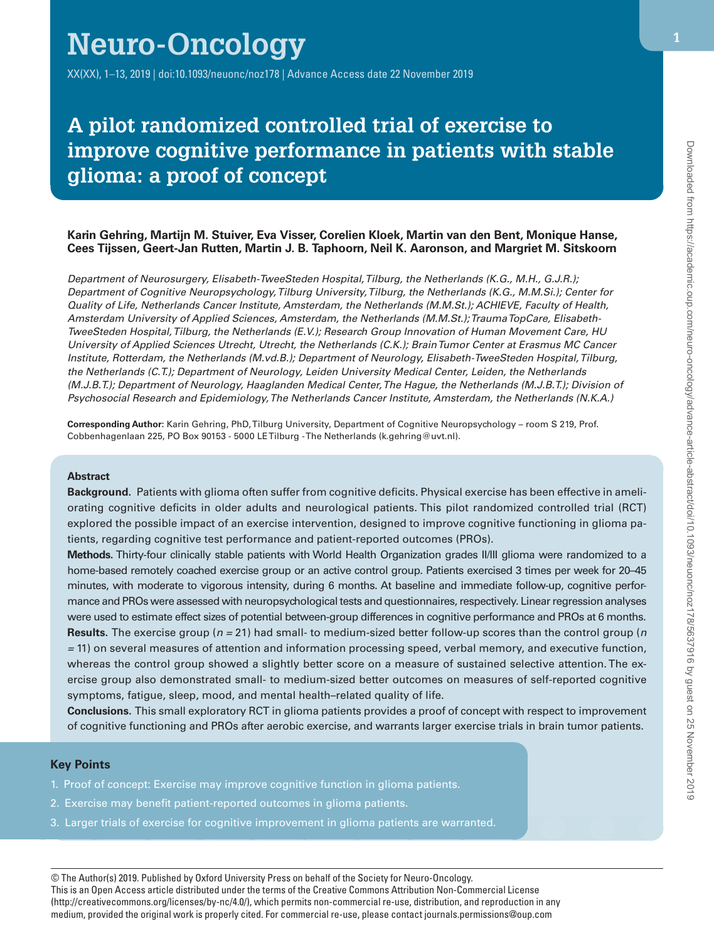Downloaded from https://academic.oup.com/neuro-oncology/advance-article-abstract/doi/10.1093/neuonc/noz178/5637916 by guest on 25 November 2019 Downloaded from https://academic.oup.com/neuro-oncology/advance-article-abstract/doi/10.1093/neuonc/noz178/5637916 by guest on 25 November 2019

XX(XX), 1–13, 2019 | doi:10.1093/neuonc/noz178 | Advance Access date 22 November 2019

# **A pilot randomized controlled trial of exercise to improve cognitive performance in patients with stable glioma: a proof of concept**

### **Karin Gehring, Martijn M. Stuiver, Eva Visser, Corelien Kloek, Martin van den Bent, Monique Hanse, Cees Tijssen, Geert-Jan Rutten, Martin J. B. Taphoorn, Neil K. Aaronson, and Margriet M. Sitskoorn**

*Department of Neurosurgery, Elisabeth-TweeSteden Hospital, Tilburg, the Netherlands (K.G., M.H., G.J.R.); Department of Cognitive Neuropsychology, Tilburg University, Tilburg, the Netherlands (K.G., M.M.Si.); Center for Quality of Life, Netherlands Cancer Institute, Amsterdam, the Netherlands (M.M.St.); ACHIEVE, Faculty of Health, Amsterdam University of Applied Sciences, Amsterdam, the Netherlands (M.M.St.); Trauma TopCare, Elisabeth-TweeSteden Hospital, Tilburg, the Netherlands (E.V.); Research Group Innovation of Human Movement Care, HU University of Applied Sciences Utrecht, Utrecht, the Netherlands (C.K.); Brain Tumor Center at Erasmus MC Cancer Institute, Rotterdam, the Netherlands (M.vd.B.); Department of Neurology, Elisabeth-TweeSteden Hospital, Tilburg, the Netherlands (C.T.); Department of Neurology, Leiden University Medical Center, Leiden, the Netherlands (M.J.B.T.); Department of Neurology, Haaglanden Medical Center, The Hague, the Netherlands (M.J.B.T.); Division of Psychosocial Research and Epidemiology, The Netherlands Cancer Institute, Amsterdam, the Netherlands (N.K.A.)*

**Corresponding Author:** Karin Gehring, PhD, Tilburg University, Department of Cognitive Neuropsychology – room S 219, Prof. Cobbenhagenlaan 225, PO Box 90153 - 5000 LE Tilburg - The Netherlands ([k.gehring@uvt.nl\)](mailto:k.gehring@uvt.nl?subject=).

### **Abstract**

Ņ

**Background.** Patients with glioma often suffer from cognitive deficits. Physical exercise has been effective in ameliorating cognitive deficits in older adults and neurological patients. This pilot randomized controlled trial (RCT) explored the possible impact of an exercise intervention, designed to improve cognitive functioning in glioma patients, regarding cognitive test performance and patient-reported outcomes (PROs).

**Methods.** Thirty-four clinically stable patients with World Health Organization grades II/III glioma were randomized to a home-based remotely coached exercise group or an active control group. Patients exercised 3 times per week for 20–45 minutes, with moderate to vigorous intensity, during 6 months. At baseline and immediate follow-up, cognitive performance and PROs were assessed with neuropsychological tests and questionnaires, respectively. Linear regression analyses were used to estimate effect sizes of potential between-group differences in cognitive performance and PROs at 6 months. **Results.** The exercise group (*n =* 21) had small- to medium-sized better follow-up scores than the control group (*n =* 11) on several measures of attention and information processing speed, verbal memory, and executive function, whereas the control group showed a slightly better score on a measure of sustained selective attention. The exercise group also demonstrated small- to medium-sized better outcomes on measures of self-reported cognitive symptoms, fatigue, sleep, mood, and mental health–related quality of life.

**Conclusions.** This small exploratory RCT in glioma patients provides a proof of concept with respect to improvement of cognitive functioning and PROs after aerobic exercise, and warrants larger exercise trials in brain tumor patients.

### **Key Points**

- 1. Proof of concept: Exercise may improve cognitive function in glioma patients.
- 2. Exercise may benefit patient-reported outcomes in glioma patients.
- 3. Larger trials of exercise for cognitive improvement in glioma patients are warranted.

© The Author(s) 2019. Published by Oxford University Press on behalf of the Society for Neuro-Oncology. This is an Open Access article distributed under the terms of the Creative Commons Attribution Non-Commercial License (http://creativecommons.org/licenses/by-nc/4.0/), which permits non-commercial re-use, distribution, and reproduction in any medium, provided the original work is properly cited. For commercial re-use, please contact journals.permissions@oup.com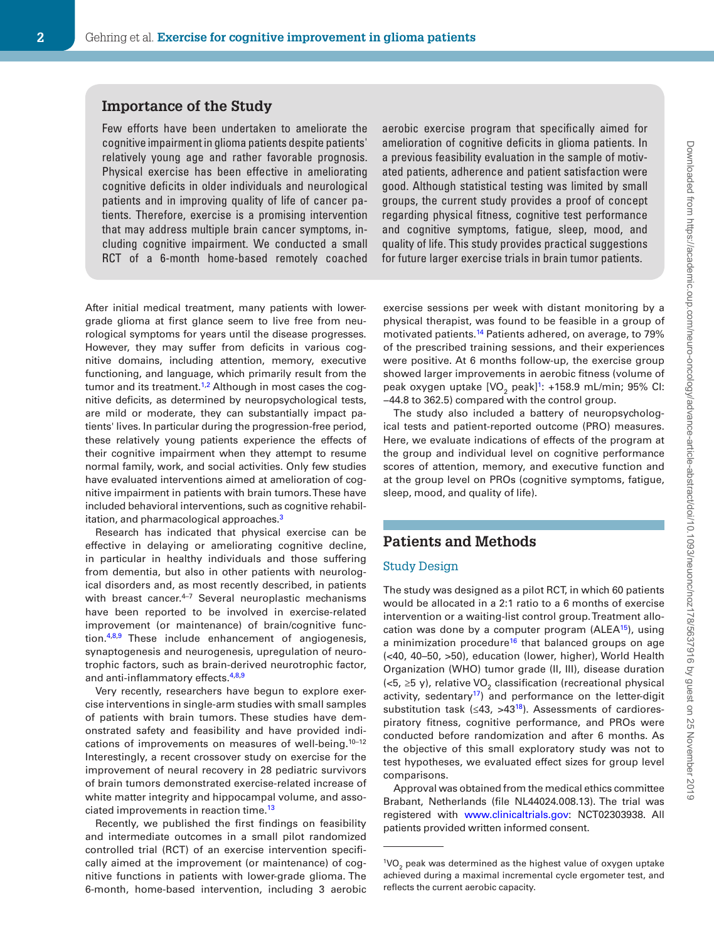### **Importance of the Study**

Few efforts have been undertaken to ameliorate the cognitive impairment in glioma patients despite patients' relatively young age and rather favorable prognosis. Physical exercise has been effective in ameliorating cognitive deficits in older individuals and neurological patients and in improving quality of life of cancer patients. Therefore, exercise is a promising intervention that may address multiple brain cancer symptoms, including cognitive impairment. We conducted a small RCT of a 6-month home-based remotely coached

After initial medical treatment, many patients with lowergrade glioma at first glance seem to live free from neurological symptoms for years until the disease progresses. However, they may suffer from deficits in various cognitive domains, including attention, memory, executive functioning, and language, which primarily result from the tumor and its treatment.<sup>1,2</sup> Although in most cases the cognitive deficits, as determined by neuropsychological tests, are mild or moderate, they can substantially impact patients' lives. In particular during the progression-free period, these relatively young patients experience the effects of their cognitive impairment when they attempt to resume normal family, work, and social activities. Only few studies have evaluated interventions aimed at amelioration of cognitive impairment in patients with brain tumors. These have included behavioral interventions, such as cognitive rehabil-

Research has indicated that physical exercise can be effective in delaying or ameliorating cognitive decline, in particular in healthy individuals and those suffering from dementia, but also in other patients with neurological disorders and, as most recently described, in patients with breast cancer.<sup>4-7</sup> Several neuroplastic mechanisms have been reported to be involved in exercise-related improvement (or maintenance) of brain/cognitive func-tion.<sup>[4,](#page-12-3)[8,](#page-12-4)[9](#page-12-5)</sup> These include enhancement of angiogenesis, synaptogenesis and neurogenesis, upregulation of neurotrophic factors, such as brain-derived neurotrophic factor, and anti-inflammatory effects.<sup>4,[8,](#page-12-4)[9](#page-12-5)</sup>

itation, and pharmacological approaches.<sup>[3](#page-12-2)</sup>

Very recently, researchers have begun to explore exercise interventions in single-arm studies with small samples of patients with brain tumors. These studies have demonstrated safety and feasibility and have provided indications of improvements on measures of well-being.<sup>10-12</sup> Interestingly, a recent crossover study on exercise for the improvement of neural recovery in 28 pediatric survivors of brain tumors demonstrated exercise-related increase of white matter integrity and hippocampal volume, and associated improvements in reaction time.<sup>13</sup>

Recently, we published the first findings on feasibility and intermediate outcomes in a small pilot randomized controlled trial (RCT) of an exercise intervention specifically aimed at the improvement (or maintenance) of cognitive functions in patients with lower-grade glioma. The 6-month, home-based intervention, including 3 aerobic

aerobic exercise program that specifically aimed for amelioration of cognitive deficits in glioma patients. In a previous feasibility evaluation in the sample of motivated patients, adherence and patient satisfaction were good. Although statistical testing was limited by small groups, the current study provides a proof of concept regarding physical fitness, cognitive test performance and cognitive symptoms, fatigue, sleep, mood, and quality of life. This study provides practical suggestions for future larger exercise trials in brain tumor patients.

exercise sessions per week with distant monitoring by a physical therapist, was found to be feasible in a group of motivated patients[.14](#page-12-7) Patients adhered, on average, to 79% of the prescribed training sessions, and their experiences were positive. At 6 months follow-up, the exercise group showed larger improvements in aerobic fitness (volume of peak oxygen uptake [VO<sub>2</sub> peak]<sup>1</sup>: +158.9 mL/min; 95% CI: −44.8 to 362.5) compared with the control group.

The study also included a battery of neuropsychological tests and patient-reported outcome (PRO) measures. Here, we evaluate indications of effects of the program at the group and individual level on cognitive performance scores of attention, memory, and executive function and at the group level on PROs (cognitive symptoms, fatigue, sleep, mood, and quality of life).

# **Patients and Methods**

### Study Design

The study was designed as a pilot RCT, in which 60 patients would be allocated in a 2:1 ratio to a 6 months of exercise intervention or a waiting-list control group. Treatment allocation was done by a computer program ( $ALEA<sup>15</sup>$  $ALEA<sup>15</sup>$  $ALEA<sup>15</sup>$ ), using a minimization procedure<sup>16</sup> that balanced groups on age (<40, 40–50, >50), education (lower, higher), World Health Organization (WHO) tumor grade (II, III), disease duration  $\left($  <5,  $\geq$ 5 y), relative VO<sub>2</sub> classification (recreational physical activity, sedentary<sup>17</sup>) and performance on the letter-digit substitution task ( $\leq 43$ , >43<sup>18</sup>). Assessments of cardiorespiratory fitness, cognitive performance, and PROs were conducted before randomization and after 6 months. As the objective of this small exploratory study was not to test hypotheses, we evaluated effect sizes for group level comparisons.

Approval was obtained from the medical ethics committee Brabant, Netherlands (file NL44024.008.13). The trial was registered with [www.clinicaltrials.gov](http://www.clinicaltrials.gov): NCT02303938. All patients provided written informed consent.

<span id="page-2-0"></span> $1$ VO<sub>2</sub> peak was determined as the highest value of oxygen uptake achieved during a maximal incremental cycle ergometer test, and reflects the current aerobic capacity.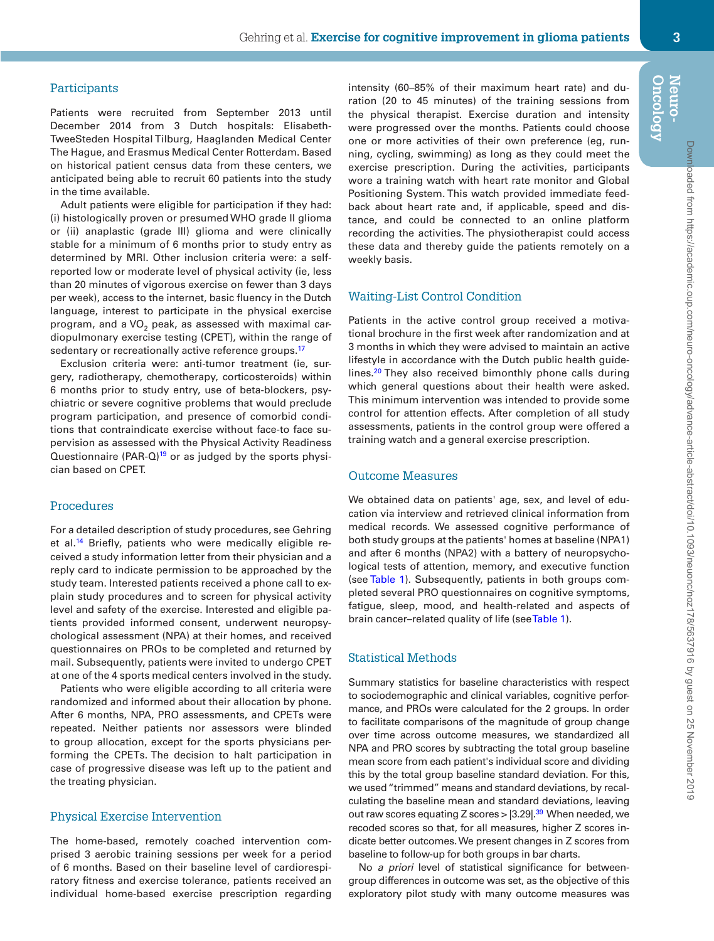# Participants

Patients were recruited from September 2013 until December 2014 from 3 Dutch hospitals: Elisabeth-TweeSteden Hospital Tilburg, Haaglanden Medical Center The Hague, and Erasmus Medical Center Rotterdam. Based on historical patient census data from these centers, we anticipated being able to recruit 60 patients into the study in the time available.

Adult patients were eligible for participation if they had: (i) histologically proven or presumed WHO grade II glioma or (ii) anaplastic (grade III) glioma and were clinically stable for a minimum of 6 months prior to study entry as determined by MRI. Other inclusion criteria were: a selfreported low or moderate level of physical activity (ie, less than 20 minutes of vigorous exercise on fewer than 3 days per week), access to the internet, basic fluency in the Dutch language, interest to participate in the physical exercise program, and a  $VO<sub>2</sub>$  peak, as assessed with maximal cardiopulmonary exercise testing (CPET), within the range of sedentary or recreationally active reference groups.<sup>[17](#page-12-10)</sup>

Exclusion criteria were: anti-tumor treatment (ie, surgery, radiotherapy, chemotherapy, corticosteroids) within 6 months prior to study entry, use of beta-blockers, psychiatric or severe cognitive problems that would preclude program participation, and presence of comorbid conditions that contraindicate exercise without face-to face supervision as assessed with the Physical Activity Readiness Questionnaire (PAR- $Q$ )<sup>19</sup> or as judged by the sports physician based on CPET.

### Procedures

For a detailed description of study procedures, see Gehring et al.<sup>14</sup> Briefly, patients who were medically eligible received a study information letter from their physician and a reply card to indicate permission to be approached by the study team. Interested patients received a phone call to explain study procedures and to screen for physical activity level and safety of the exercise. Interested and eligible patients provided informed consent, underwent neuropsychological assessment (NPA) at their homes, and received questionnaires on PROs to be completed and returned by mail. Subsequently, patients were invited to undergo CPET at one of the 4 sports medical centers involved in the study.

Patients who were eligible according to all criteria were randomized and informed about their allocation by phone. After 6 months, NPA, PRO assessments, and CPETs were repeated. Neither patients nor assessors were blinded to group allocation, except for the sports physicians performing the CPETs. The decision to halt participation in case of progressive disease was left up to the patient and the treating physician.

### Physical Exercise Intervention

The home-based, remotely coached intervention comprised 3 aerobic training sessions per week for a period of 6 months. Based on their baseline level of cardiorespiratory fitness and exercise tolerance, patients received an individual home-based exercise prescription regarding

intensity (60–85% of their maximum heart rate) and duration (20 to 45 minutes) of the training sessions from the physical therapist. Exercise duration and intensity were progressed over the months. Patients could choose one or more activities of their own preference (eg, running, cycling, swimming) as long as they could meet the exercise prescription. During the activities, participants wore a training watch with heart rate monitor and Global Positioning System. This watch provided immediate feedback about heart rate and, if applicable, speed and distance, and could be connected to an online platform recording the activities. The physiotherapist could access these data and thereby guide the patients remotely on a weekly basis.

# Waiting-List Control Condition

Patients in the active control group received a motivational brochure in the first week after randomization and at 3 months in which they were advised to maintain an active lifestyle in accordance with the Dutch public health guidelines.<sup>20</sup> They also received bimonthly phone calls during which general questions about their health were asked. This minimum intervention was intended to provide some control for attention effects. After completion of all study assessments, patients in the control group were offered a training watch and a general exercise prescription.

### Outcome Measures

We obtained data on patients' age, sex, and level of education via interview and retrieved clinical information from medical records. We assessed cognitive performance of both study groups at the patients' homes at baseline (NPA1) and after 6 months (NPA2) with a battery of neuropsychological tests of attention, memory, and executive function (see [Table 1\)](#page-4-0). Subsequently, patients in both groups completed several PRO questionnaires on cognitive symptoms, fatigue, sleep, mood, and health-related and aspects of brain cancer-related quality of life (see [Table 1\)](#page-4-0).

# Statistical Methods

Summary statistics for baseline characteristics with respect to sociodemographic and clinical variables, cognitive performance, and PROs were calculated for the 2 groups. In order to facilitate comparisons of the magnitude of group change over time across outcome measures, we standardized all NPA and PRO scores by subtracting the total group baseline mean score from each patient's individual score and dividing this by the total group baseline standard deviation. For this, we used "trimmed" means and standard deviations, by recalculating the baseline mean and standard deviations, leaving out raw scores equating Z scores >  $|3.29|^{39}$  When needed, we recoded scores so that, for all measures, higher Z scores indicate better outcomes. We present changes in Z scores from baseline to follow-up for both groups in bar charts.

No *a priori* level of statistical significance for betweengroup differences in outcome was set, as the objective of this exploratory pilot study with many outcome measures was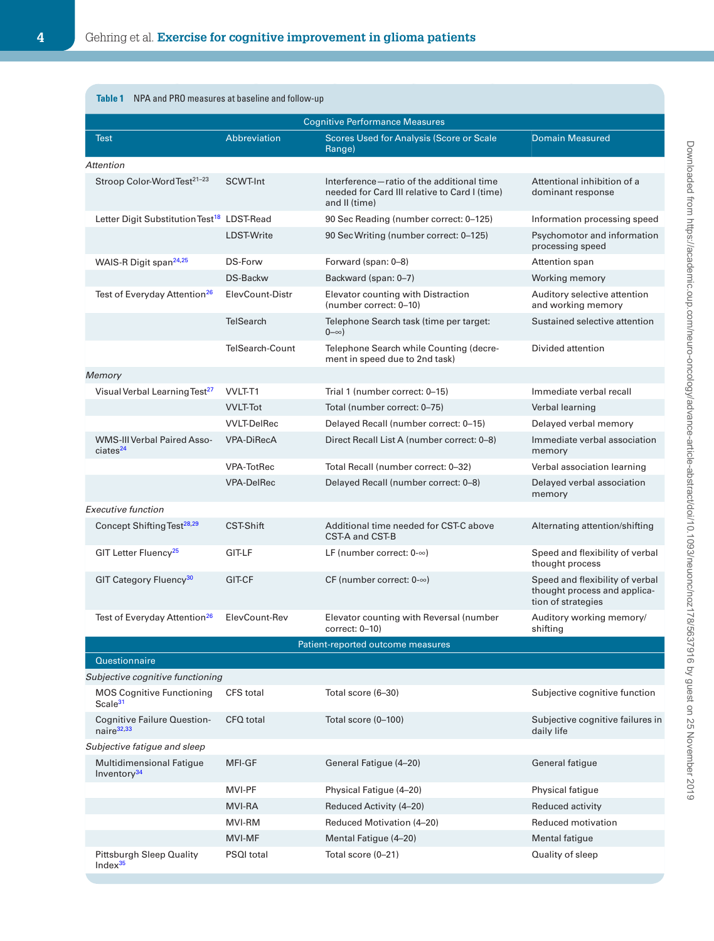#### <span id="page-4-0"></span>**Table 1** NPA and PRO measures at baseline and follow-up

| <b>Cognitive Performance Measures</b>                        |                        |                                                                                                             |                                                                                       |  |
|--------------------------------------------------------------|------------------------|-------------------------------------------------------------------------------------------------------------|---------------------------------------------------------------------------------------|--|
| <b>Test</b>                                                  | Abbreviation           | <b>Scores Used for Analysis (Score or Scale</b><br>Range)                                                   | <b>Domain Measured</b>                                                                |  |
| Attention                                                    |                        |                                                                                                             |                                                                                       |  |
| Stroop Color-Word Test <sup>21-23</sup>                      | SCWT-Int               | Interference-ratio of the additional time<br>needed for Card III relative to Card I (time)<br>and II (time) | Attentional inhibition of a<br>dominant response                                      |  |
| Letter Digit Substitution Test <sup>18</sup> LDST-Read       |                        | 90 Sec Reading (number correct: 0-125)                                                                      | Information processing speed                                                          |  |
|                                                              | <b>LDST-Write</b>      | 90 Sec Writing (number correct: 0-125)                                                                      | Psychomotor and information<br>processing speed                                       |  |
| WAIS-R Digit span <sup>24,25</sup>                           | DS-Forw                | Forward (span: 0-8)                                                                                         | Attention span                                                                        |  |
|                                                              | <b>DS-Backw</b>        | Backward (span: 0-7)                                                                                        | Working memory                                                                        |  |
| Test of Everyday Attention <sup>26</sup>                     | ElevCount-Distr        | Elevator counting with Distraction<br>(number correct: 0-10)                                                | Auditory selective attention<br>and working memory                                    |  |
|                                                              | <b>TelSearch</b>       | Telephone Search task (time per target:<br>$0-\infty$ )                                                     | Sustained selective attention                                                         |  |
|                                                              | <b>TelSearch-Count</b> | Telephone Search while Counting (decre-<br>ment in speed due to 2nd task)                                   | Divided attention                                                                     |  |
| Memory                                                       |                        |                                                                                                             |                                                                                       |  |
| Visual Verbal Learning Test <sup>27</sup>                    | VVLT-T1                | Trial 1 (number correct: 0-15)                                                                              | Immediate verbal recall                                                               |  |
|                                                              | <b>VVLT-Tot</b>        | Total (number correct: 0-75)                                                                                | Verbal learning                                                                       |  |
|                                                              | <b>VVLT-DelRec</b>     | Delayed Recall (number correct: 0-15)                                                                       | Delayed verbal memory                                                                 |  |
| WMS-III Verbal Paired Asso-<br>ciates <sup>24</sup>          | <b>VPA-DiRecA</b>      | Direct Recall List A (number correct: 0-8)                                                                  | Immediate verbal association<br>memory                                                |  |
|                                                              | <b>VPA-TotRec</b>      | Total Recall (number correct: 0-32)                                                                         | Verbal association learning                                                           |  |
|                                                              | <b>VPA-DelRec</b>      | Delayed Recall (number correct: 0-8)                                                                        | Delayed verbal association<br>memory                                                  |  |
| <b>Executive function</b>                                    |                        |                                                                                                             |                                                                                       |  |
| Concept Shifting Test <sup>28,29</sup>                       | CST-Shift              | Additional time needed for CST-C above<br>CST-A and CST-B                                                   | Alternating attention/shifting                                                        |  |
| GIT Letter Fluency <sup>25</sup>                             | <b>GIT-LF</b>          | LF (number correct: $0-\infty$ )                                                                            | Speed and flexibility of verbal<br>thought process                                    |  |
| GIT Category Fluency <sup>30</sup>                           | GIT-CF                 | CF (number correct: $0 - \infty$ )                                                                          | Speed and flexibility of verbal<br>thought process and applica-<br>tion of strategies |  |
| Test of Everyday Attention <sup>26</sup>                     | ElevCount-Rev          | Elevator counting with Reversal (number<br>correct: 0-10)                                                   | Auditory working memory/<br>shifting                                                  |  |
|                                                              |                        | Patient-reported outcome measures                                                                           |                                                                                       |  |
| Questionnaire                                                |                        |                                                                                                             |                                                                                       |  |
| Subjective cognitive functioning                             |                        |                                                                                                             |                                                                                       |  |
| <b>MOS Cognitive Functioning</b><br>Scale <sup>31</sup>      | <b>CFS</b> total       | Total score (6-30)                                                                                          | Subjective cognitive function                                                         |  |
| <b>Cognitive Failure Question-</b><br>naire <sup>32,33</sup> | CFQ total              | Total score (0-100)                                                                                         | Subjective cognitive failures in<br>daily life                                        |  |
| Subjective fatigue and sleep                                 |                        |                                                                                                             |                                                                                       |  |
| <b>Multidimensional Fatigue</b><br>Inventory <sup>34</sup>   | MFI-GF                 | General Fatique (4-20)                                                                                      | General fatigue                                                                       |  |
|                                                              | MVI-PF                 | Physical Fatigue (4-20)                                                                                     | Physical fatigue                                                                      |  |
|                                                              | <b>MVI-RA</b>          | Reduced Activity (4-20)                                                                                     | Reduced activity                                                                      |  |
|                                                              | MVI-RM                 | Reduced Motivation (4-20)                                                                                   | Reduced motivation                                                                    |  |
|                                                              | MVI-MF                 | Mental Fatigue (4-20)                                                                                       | Mental fatigue                                                                        |  |
| <b>Pittsburgh Sleep Quality</b><br>Index <sup>35</sup>       | PSQI total             | Total score (0-21)                                                                                          | Quality of sleep                                                                      |  |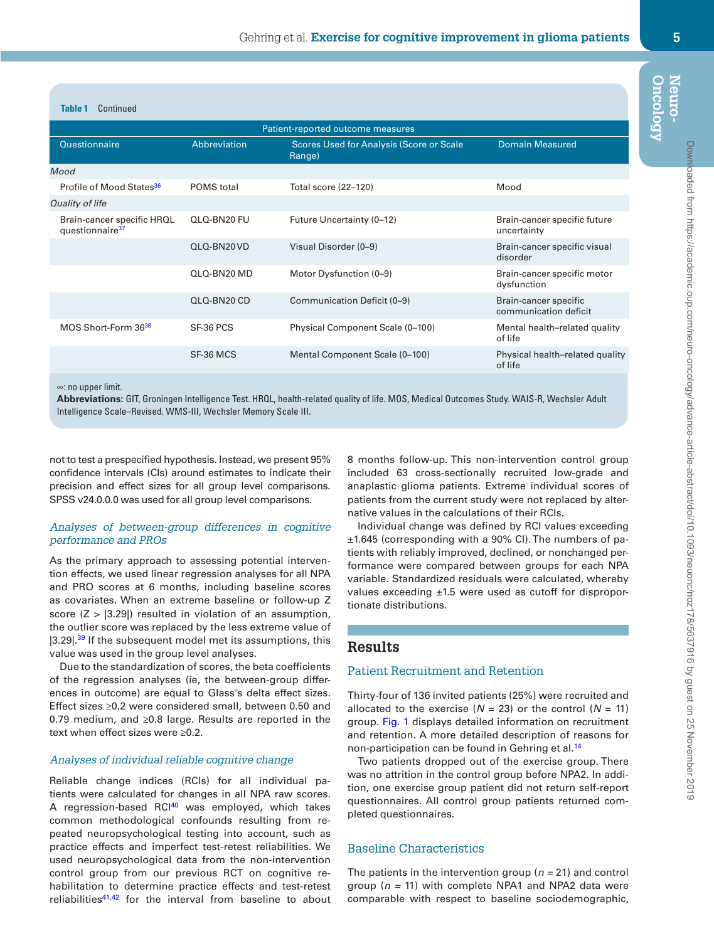**Oncology Neuro-**

**Table 1** Continued

| Patient-reported outcome measures                         |              |                                                    |                                                |  |
|-----------------------------------------------------------|--------------|----------------------------------------------------|------------------------------------------------|--|
| Questionnaire                                             | Abbreviation | Scores Used for Analysis (Score or Scale<br>Range) | <b>Domain Measured</b>                         |  |
| Mood                                                      |              |                                                    |                                                |  |
| Profile of Mood States <sup>36</sup>                      | POMS total   | Total score (22-120)                               | Mood                                           |  |
| Quality of life                                           |              |                                                    |                                                |  |
| Brain-cancer specific HRQL<br>questionnaire <sup>37</sup> | QLQ-BN20 FU  | Future Uncertainty (0-12)                          | Brain-cancer specific future<br>uncertainty    |  |
|                                                           | QLQ-BN20 VD  | Visual Disorder (0-9)                              | Brain-cancer specific visual<br>disorder       |  |
|                                                           | OLO-BN20 MD  | Motor Dysfunction (0-9)                            | Brain-cancer specific motor<br>dysfunction     |  |
|                                                           | QLQ-BN20 CD  | Communication Deficit (0-9)                        | Brain-cancer specific<br>communication deficit |  |
| MOS Short-Form 3638                                       | SF-36 PCS    | Physical Component Scale (0-100)                   | Mental health-related quality<br>of life       |  |
|                                                           | SF-36 MCS    | Mental Component Scale (0-100)                     | Physical health-related quality<br>of life     |  |
|                                                           |              |                                                    |                                                |  |

∞: no upper limit.

**Abbreviations:** GIT, Groningen Intelligence Test. HRQL, health-related quality of life. MOS, Medical Outcomes Study. WAIS-R, Wechsler Adult Intelligence Scale–Revised. WMS-III, Wechsler Memory Scale III.

not to test a prespecified hypothesis. Instead, we present 95% confidence intervals (CIs) around estimates to indicate their precision and effect sizes for all group level comparisons. SPSS v24.0.0.0 was used for all group level comparisons.

### *Analyses of between-group differences in cognitive performance and PROs*

As the primary approach to assessing potential intervention effects, we used linear regression analyses for all NPA and PRO scores at 6 months, including baseline scores as covariates. When an extreme baseline or follow-up Z score  $(Z > |3.29|)$  resulted in violation of an assumption, the outlier score was replaced by the less extreme value of [3.29].<sup>39</sup> If the subsequent model met its assumptions, this value was used in the group level analyses.

Due to the standardization of scores, the beta coefficients of the regression analyses (ie, the between-group differences in outcome) are equal to Glass's delta effect sizes. Effect sizes ≥0.2 were considered small, between 0.50 and 0.79 medium, and ≥0.8 large. Results are reported in the text when effect sizes were ≥0.2.

#### *Analyses of individual reliable cognitive change*

Reliable change indices (RCIs) for all individual patients were calculated for changes in all NPA raw scores. A regression-based RCI<sup>40</sup> was employed, which takes common methodological confounds resulting from repeated neuropsychological testing into account, such as practice effects and imperfect test-retest reliabilities. We used neuropsychological data from the non-intervention control group from our previous RCT on cognitive rehabilitation to determine practice effects and test-retest reliabilities<sup>41,[42](#page-12-29)</sup> for the interval from baseline to about 8 months follow-up. This non-intervention control group included 63 cross-sectionally recruited low-grade and anaplastic glioma patients. Extreme individual scores of patients from the current study were not replaced by alternative values in the calculations of their RCIs.

Individual change was defined by RCI values exceeding ±1.645 (corresponding with a 90% CI). The numbers of patients with reliably improved, declined, or nonchanged performance were compared between groups for each NPA variable. Standardized residuals were calculated, whereby values exceeding  $\pm 1.5$  were used as cutoff for disproportionate distributions.

# **Results**

### Patient Recruitment and Retention

Thirty-four of 136 invited patients (25%) were recruited and allocated to the exercise  $(N = 23)$  or the control  $(N = 11)$ group. [Fig. 1](#page-6-0) displays detailed information on recruitment and retention. A more detailed description of reasons for non-participation can be found in Gehring et al.<sup>[14](#page-12-7)</sup>

Two patients dropped out of the exercise group. There was no attrition in the control group before NPA2. In addition, one exercise group patient did not return self-report questionnaires. All control group patients returned completed questionnaires.

### Baseline Characteristics

The patients in the intervention group (*n =* 21) and control group (*n =* 11) with complete NPA1 and NPA2 data were comparable with respect to baseline sociodemographic,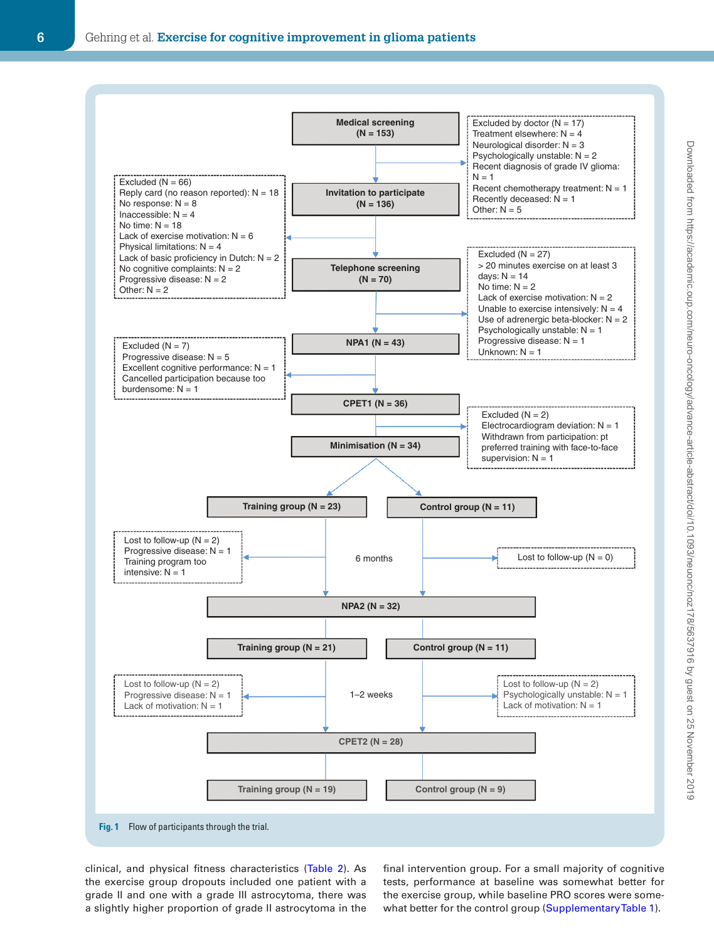<span id="page-6-0"></span>

clinical, and physical fitness characteristics ([Table 2\)](#page-7-0). As the exercise group dropouts included one patient with a grade II and one with a grade III astrocytoma, there was a slightly higher proportion of grade II astrocytoma in the final intervention group. For a small majority of cognitive tests, performance at baseline was somewhat better for the exercise group, while baseline PRO scores were some-what better for the control group [\(Supplementary Table 1\)](http://academic.oup.com/neuro-oncology/article-lookup/doi/10.1093/neuonc/noz178#supplementary-data).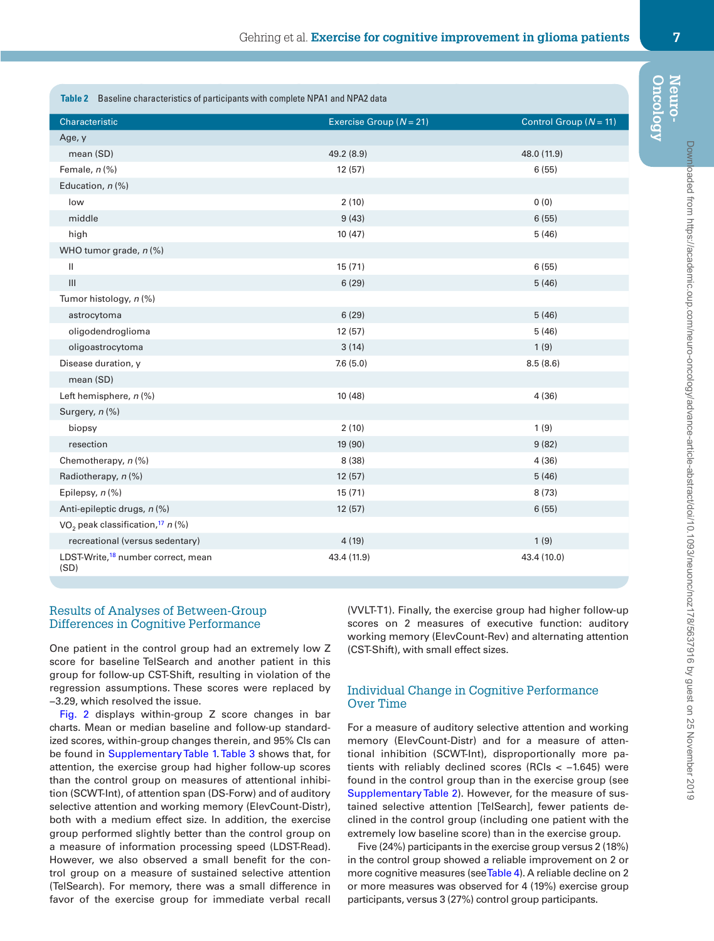<span id="page-7-0"></span>

|                                                            | <b>Table 2</b> Baseline characteristics of participants with complete NPA1 and NPA2 data |                            |  |  |  |  |
|------------------------------------------------------------|------------------------------------------------------------------------------------------|----------------------------|--|--|--|--|
| Characteristic                                             | Exercise Group $(N = 21)$                                                                | Control Group ( $N = 11$ ) |  |  |  |  |
| Age, y                                                     |                                                                                          |                            |  |  |  |  |
| mean (SD)                                                  | 49.2 (8.9)                                                                               | 48.0 (11.9)                |  |  |  |  |
| Female, $n$ (%)                                            | 12(57)                                                                                   | 6(55)                      |  |  |  |  |
| Education, n (%)                                           |                                                                                          |                            |  |  |  |  |
| low                                                        | 2(10)                                                                                    | 0(0)                       |  |  |  |  |
| middle                                                     | 9(43)                                                                                    | 6(55)                      |  |  |  |  |
| high                                                       | 10(47)                                                                                   | 5(46)                      |  |  |  |  |
| WHO tumor grade, $n$ (%)                                   |                                                                                          |                            |  |  |  |  |
| $\mathbf{H}$                                               | 15(71)                                                                                   | 6(55)                      |  |  |  |  |
| III                                                        | 6(29)                                                                                    | 5(46)                      |  |  |  |  |
| Tumor histology, n (%)                                     |                                                                                          |                            |  |  |  |  |
| astrocytoma                                                | 6(29)                                                                                    | 5(46)                      |  |  |  |  |
| oligodendroglioma                                          | 12(57)                                                                                   | 5(46)                      |  |  |  |  |
| oligoastrocytoma                                           | 3(14)                                                                                    | 1(9)                       |  |  |  |  |
| Disease duration, y                                        | 7.6(5.0)                                                                                 | 8.5(8.6)                   |  |  |  |  |
| mean (SD)                                                  |                                                                                          |                            |  |  |  |  |
| Left hemisphere, $n$ (%)                                   | 10(48)                                                                                   | 4(36)                      |  |  |  |  |
| Surgery, n (%)                                             |                                                                                          |                            |  |  |  |  |
| biopsy                                                     | 2(10)                                                                                    | 1(9)                       |  |  |  |  |
| resection                                                  | 19 (90)                                                                                  | 9(82)                      |  |  |  |  |
| Chemotherapy, n (%)                                        | 8(38)                                                                                    | 4(36)                      |  |  |  |  |
| Radiotherapy, $n$ (%)                                      | 12(57)                                                                                   | 5(46)                      |  |  |  |  |
| Epilepsy, $n$ (%)                                          | 15(71)                                                                                   | 8(73)                      |  |  |  |  |
| Anti-epileptic drugs, n (%)                                | 12(57)                                                                                   | 6(55)                      |  |  |  |  |
| VO <sub>2</sub> peak classification, <sup>17</sup> $n$ (%) |                                                                                          |                            |  |  |  |  |
| recreational (versus sedentary)                            | 4(19)                                                                                    | 1(9)                       |  |  |  |  |
| LDST-Write, <sup>18</sup> number correct, mean<br>(SD)     | 43.4 (11.9)                                                                              | 43.4 (10.0)                |  |  |  |  |

### Results of Analyses of Between-Group Differences in Cognitive Performance

One patient in the control group had an extremely low Z score for baseline TelSearch and another patient in this group for follow-up CST-Shift, resulting in violation of the regression assumptions. These scores were replaced by −3.29, which resolved the issue.

[Fig. 2](#page-8-0) displays within-group Z score changes in bar charts. Mean or median baseline and follow-up standardized scores, within-group changes therein, and 95% CIs can be found in [Supplementary Table 1](http://academic.oup.com/neuro-oncology/article-lookup/doi/10.1093/neuonc/noz178#supplementary-data). [Table 3](#page-9-0) shows that, for attention, the exercise group had higher follow-up scores than the control group on measures of attentional inhibition (SCWT-Int), of attention span (DS-Forw) and of auditory selective attention and working memory (ElevCount-Distr), both with a medium effect size. In addition, the exercise group performed slightly better than the control group on a measure of information processing speed (LDST-Read). However, we also observed a small benefit for the control group on a measure of sustained selective attention (TelSearch). For memory, there was a small difference in favor of the exercise group for immediate verbal recall (VVLT-T1). Finally, the exercise group had higher follow-up scores on 2 measures of executive function: auditory working memory (ElevCount-Rev) and alternating attention (CST-Shift), with small effect sizes.

### Individual Change in Cognitive Performance Over Time

For a measure of auditory selective attention and working memory (ElevCount-Distr) and for a measure of attentional inhibition (SCWT-Int), disproportionally more patients with reliably declined scores (RCIs < -1.645) were found in the control group than in the exercise group (see [Supplementary Table 2\)](http://academic.oup.com/neuro-oncology/article-lookup/doi/10.1093/neuonc/noz178#supplementary-data). However, for the measure of sustained selective attention [TelSearch], fewer patients declined in the control group (including one patient with the extremely low baseline score) than in the exercise group.

Five (24%) participants in the exercise group versus 2 (18%) in the control group showed a reliable improvement on 2 or more cognitive measures (see [Table 4](#page-9-1)). A reliable decline on 2 or more measures was observed for 4 (19%) exercise group participants, versus 3 (27%) control group participants.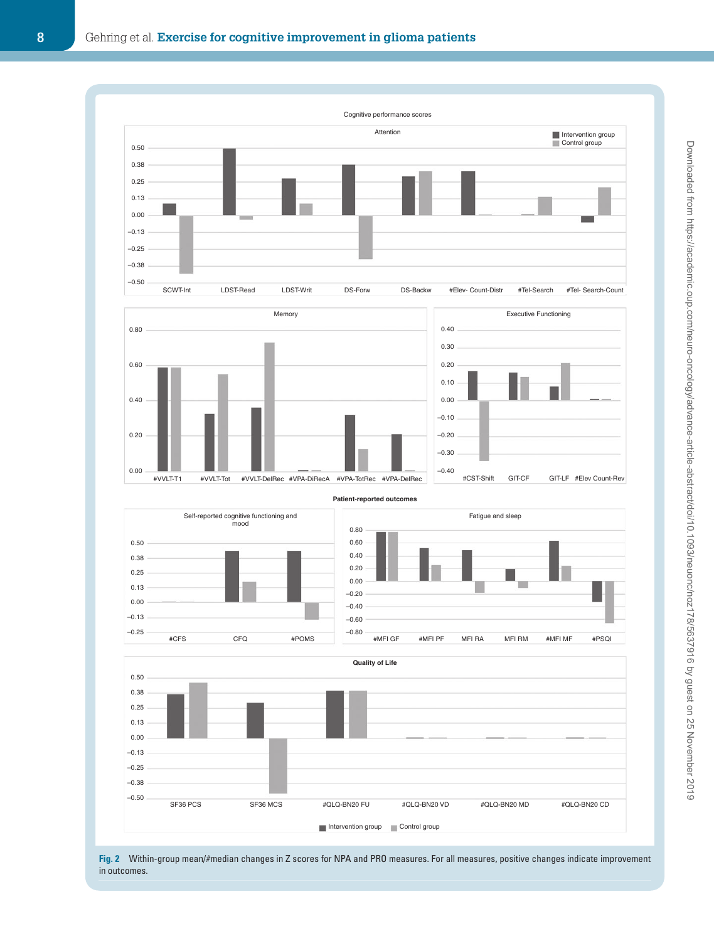<span id="page-8-0"></span>

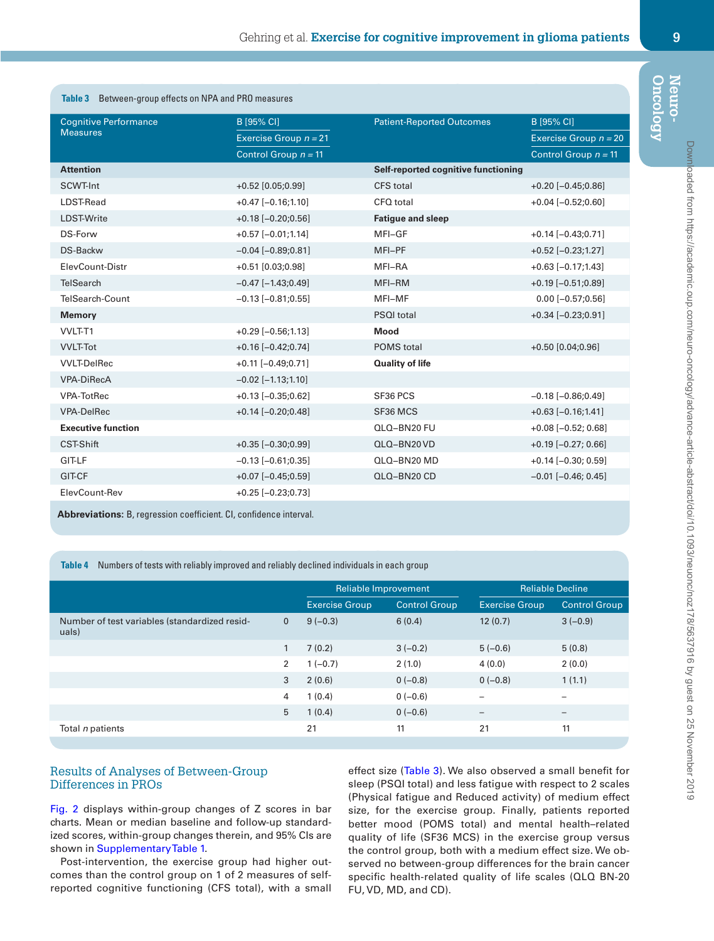<span id="page-9-0"></span>

| <b>Table 3</b> Between-group effects on NPA and PRO measures |                          |                                     |                              |  |
|--------------------------------------------------------------|--------------------------|-------------------------------------|------------------------------|--|
| <b>Cognitive Performance</b>                                 | <b>B</b> [95% CI]        | <b>Patient-Reported Outcomes</b>    | <b>B</b> [95% CI]            |  |
| <b>Measures</b>                                              | Exercise Group $n = 21$  |                                     | Exercise Group $n = 20$      |  |
|                                                              | Control Group $n = 11$   |                                     | Control Group $n = 11$       |  |
| <b>Attention</b>                                             |                          | Self-reported cognitive functioning |                              |  |
| <b>SCWT-Int</b>                                              | $+0.52$ [0.05;0.99]      | <b>CFS</b> total                    | $+0.20$ [-0.45;0.86]         |  |
| LDST-Read                                                    | $+0.47$ [-0.16;1.10]     | CFQ total                           | $+0.04$ [-0.52;0.60]         |  |
| <b>LDST-Write</b>                                            | $+0.18[-0.20;0.56]$      | <b>Fatigue and sleep</b>            |                              |  |
| DS-Forw                                                      | $+0.57$ [-0.01;1.14]     | MFI-GF                              | $+0.14$ [-0.43;0.71]         |  |
| <b>DS-Backw</b>                                              | $-0.04$ [ $-0.89;0.81$ ] | MFI-PF                              | $+0.52[-0.23;1.27]$          |  |
| ElevCount-Distr                                              | $+0.51$ [0.03;0.98]      | MFI-RA                              | $+0.63$ [-0.17;1.43]         |  |
| <b>TelSearch</b>                                             | $-0.47$ [ $-1.43;0.49$ ] | MFI-RM                              | $+0.19$ [-0.51;0.89]         |  |
| <b>TelSearch-Count</b>                                       | $-0.13[-0.81;0.55]$      | MFI-MF                              | $0.00$ [-0.57;0.56]          |  |
| <b>Memory</b>                                                |                          | <b>PSQI</b> total                   | $+0.34[-0.23;0.91]$          |  |
| VVLT-T1                                                      | $+0.29[-0.56;1.13]$      | <b>Mood</b>                         |                              |  |
| <b>VVLT-Tot</b>                                              | $+0.16[-0.42;0.74]$      | <b>POMS</b> total                   | $+0.50$ [0.04;0.96]          |  |
| <b>VVLT-DelRec</b>                                           | $+0.11$ [-0.49;0.71]     | <b>Quality of life</b>              |                              |  |
| <b>VPA-DiRecA</b>                                            | $-0.02$ [ $-1.13;1.10$ ] |                                     |                              |  |
| <b>VPA-TotRec</b>                                            | $+0.13$ [-0.35;0.62]     | SF36 PCS                            | $-0.18$ [ $-0.86$ ; $0.49$ ] |  |
| <b>VPA-DelRec</b>                                            | $+0.14[-0.20;0.48]$      | SF36 MCS                            | $+0.63[-0.16;1.41]$          |  |
| <b>Executive function</b>                                    |                          | QLQ-BN20 FU                         | $+0.08[-0.52; 0.68]$         |  |
| <b>CST-Shift</b>                                             | $+0.35$ [ $-0.30;0.99$ ] | QLQ-BN20VD                          | $+0.19$ [-0.27; 0.66]        |  |
| GIT-LF                                                       | $-0.13$ [ $-0.61;0.35$ ] | QLQ-BN20 MD                         | $+0.14$ [-0.30; 0.59]        |  |
| GIT-CF                                                       | $+0.07[-0.45;0.59]$      | QLQ-BN20 CD                         | $-0.01$ [ $-0.46$ ; 0.45]    |  |
| ElevCount-Rev                                                | $+0.25$ [-0.23;0.73]     |                                     |                              |  |

**Abbreviations:** B, regression coefficient. CI, confidence interval.

<span id="page-9-1"></span>**Table 4** Numbers of tests with reliably improved and reliably declined individuals in each group

|                                                        |                | Reliable Improvement  |                      | <b>Reliable Decline</b>  |                      |
|--------------------------------------------------------|----------------|-----------------------|----------------------|--------------------------|----------------------|
|                                                        |                | <b>Exercise Group</b> | <b>Control Group</b> | <b>Exercise Group</b>    | <b>Control Group</b> |
| Number of test variables (standardized resid-<br>uals) | $\mathbf 0$    | $9(-0.3)$             | 6(0.4)               | 12(0.7)                  | $3(-0.9)$            |
|                                                        | 1              | 7(0.2)                | $3(-0.2)$            | $5(-0.6)$                | 5(0.8)               |
|                                                        | $\overline{2}$ | $1(-0.7)$             | 2(1.0)               | 4(0.0)                   | 2(0.0)               |
|                                                        | 3              | 2(0.6)                | $0(-0.8)$            | $0(-0.8)$                | 1(1.1)               |
|                                                        | 4              | 1(0.4)                | $0(-0.6)$            |                          |                      |
|                                                        | 5              | 1(0.4)                | $0(-0.6)$            | $\overline{\phantom{0}}$ | $\qquad \qquad -$    |
| Total n patients                                       |                | 21                    | 11                   | 21                       | 11                   |
|                                                        |                |                       |                      |                          |                      |

### Results of Analyses of Between-Group Differences in PROs

[Fig. 2](#page-8-0) displays within-group changes of Z scores in bar charts. Mean or median baseline and follow-up standardized scores, within-group changes therein, and 95% CIs are shown in [Supplementary Table 1](http://academic.oup.com/neuro-oncology/article-lookup/doi/10.1093/neuonc/noz178#supplementary-data).

Post-intervention, the exercise group had higher outcomes than the control group on 1 of 2 measures of selfreported cognitive functioning (CFS total), with a small

effect size [\(Table 3](#page-9-0)). We also observed a small benefit for sleep (PSQI total) and less fatigue with respect to 2 scales (Physical fatigue and Reduced activity) of medium effect size, for the exercise group. Finally, patients reported better mood (POMS total) and mental health–related quality of life (SF36 MCS) in the exercise group versus the control group, both with a medium effect size. We observed no between-group differences for the brain cancer specific health-related quality of life scales (QLQ BN-20 FU, VD, MD, and CD).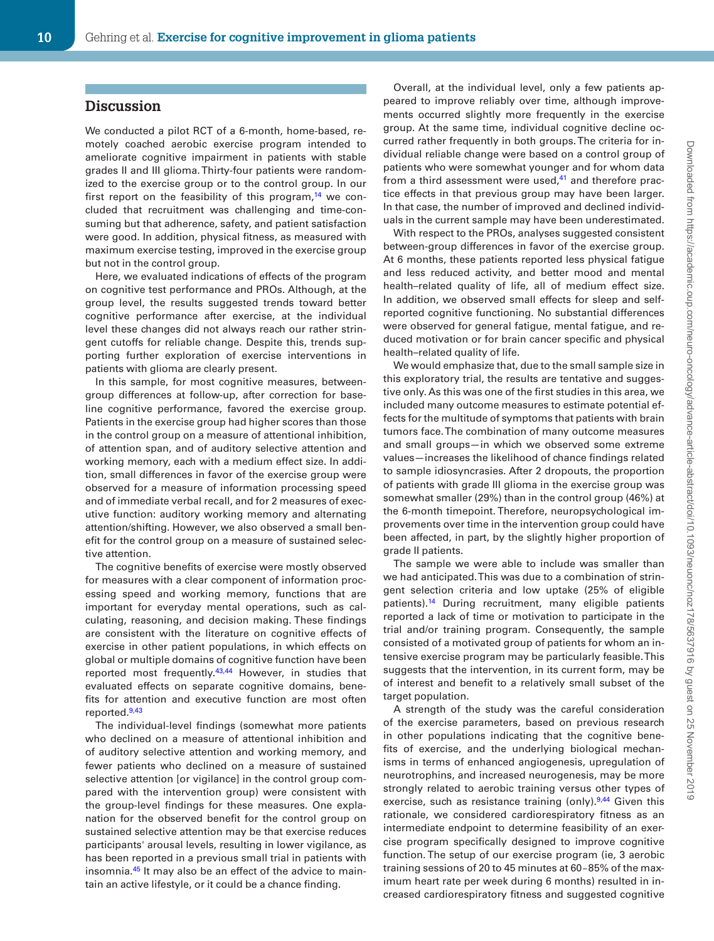# **Discussion**

We conducted a pilot RCT of a 6-month, home-based, remotely coached aerobic exercise program intended to ameliorate cognitive impairment in patients with stable grades II and III glioma. Thirty-four patients were randomized to the exercise group or to the control group. In our first report on the feasibility of this program, $14$  we concluded that recruitment was challenging and time-consuming but that adherence, safety, and patient satisfaction were good. In addition, physical fitness, as measured with maximum exercise testing, improved in the exercise group but not in the control group.

Here, we evaluated indications of effects of the program on cognitive test performance and PROs. Although, at the group level, the results suggested trends toward better cognitive performance after exercise, at the individual level these changes did not always reach our rather stringent cutoffs for reliable change. Despite this, trends supporting further exploration of exercise interventions in patients with glioma are clearly present.

In this sample, for most cognitive measures, betweengroup differences at follow-up, after correction for baseline cognitive performance, favored the exercise group. Patients in the exercise group had higher scores than those in the control group on a measure of attentional inhibition, of attention span, and of auditory selective attention and working memory, each with a medium effect size. In addition, small differences in favor of the exercise group were observed for a measure of information processing speed and of immediate verbal recall, and for 2 measures of executive function: auditory working memory and alternating attention/shifting. However, we also observed a small benefit for the control group on a measure of sustained selective attention.

The cognitive benefits of exercise were mostly observed for measures with a clear component of information processing speed and working memory, functions that are important for everyday mental operations, such as calculating, reasoning, and decision making. These findings are consistent with the literature on cognitive effects of exercise in other patient populations, in which effects on global or multiple domains of cognitive function have been reported most frequently.<sup>43,[44](#page-13-1)</sup> However, in studies that evaluated effects on separate cognitive domains, benefits for attention and executive function are most often reported.<sup>9,[43](#page-13-0)</sup>

The individual-level findings (somewhat more patients who declined on a measure of attentional inhibition and of auditory selective attention and working memory, and fewer patients who declined on a measure of sustained selective attention [or vigilance] in the control group compared with the intervention group) were consistent with the group-level findings for these measures. One explanation for the observed benefit for the control group on sustained selective attention may be that exercise reduces participants' arousal levels, resulting in lower vigilance, as has been reported in a previous small trial in patients with insomnia.[45](#page-13-2) It may also be an effect of the advice to maintain an active lifestyle, or it could be a chance finding.

Overall, at the individual level, only a few patients appeared to improve reliably over time, although improvements occurred slightly more frequently in the exercise group. At the same time, individual cognitive decline occurred rather frequently in both groups. The criteria for individual reliable change were based on a control group of patients who were somewhat younger and for whom data from a third assessment were used, $41$  and therefore practice effects in that previous group may have been larger. In that case, the number of improved and declined individuals in the current sample may have been underestimated.

With respect to the PROs, analyses suggested consistent between-group differences in favor of the exercise group. At 6 months, these patients reported less physical fatigue and less reduced activity, and better mood and mental health–related quality of life, all of medium effect size. In addition, we observed small effects for sleep and selfreported cognitive functioning. No substantial differences were observed for general fatigue, mental fatigue, and reduced motivation or for brain cancer specific and physical health–related quality of life.

We would emphasize that, due to the small sample size in this exploratory trial, the results are tentative and suggestive only. As this was one of the first studies in this area, we included many outcome measures to estimate potential effects for the multitude of symptoms that patients with brain tumors face. The combination of many outcome measures and small groups—in which we observed some extreme values—increases the likelihood of chance findings related to sample idiosyncrasies. After 2 dropouts, the proportion of patients with grade III glioma in the exercise group was somewhat smaller (29%) than in the control group (46%) at the 6-month timepoint. Therefore, neuropsychological improvements over time in the intervention group could have been affected, in part, by the slightly higher proportion of grade II patients.

The sample we were able to include was smaller than we had anticipated. This was due to a combination of stringent selection criteria and low uptake (25% of eligible patients)[.14](#page-12-7) During recruitment, many eligible patients reported a lack of time or motivation to participate in the trial and/or training program. Consequently, the sample consisted of a motivated group of patients for whom an intensive exercise program may be particularly feasible. This suggests that the intervention, in its current form, may be of interest and benefit to a relatively small subset of the target population.

A strength of the study was the careful consideration of the exercise parameters, based on previous research in other populations indicating that the cognitive benefits of exercise, and the underlying biological mechanisms in terms of enhanced angiogenesis, upregulation of neurotrophins, and increased neurogenesis, may be more strongly related to aerobic training versus other types of exercise, such as resistance training (only).<sup>9,[44](#page-13-1)</sup> Given this rationale, we considered cardiorespiratory fitness as an intermediate endpoint to determine feasibility of an exercise program specifically designed to improve cognitive function. The setup of our exercise program (ie, 3 aerobic training sessions of 20 to 45 minutes at 60-85% of the maximum heart rate per week during 6 months) resulted in increased cardiorespiratory fitness and suggested cognitive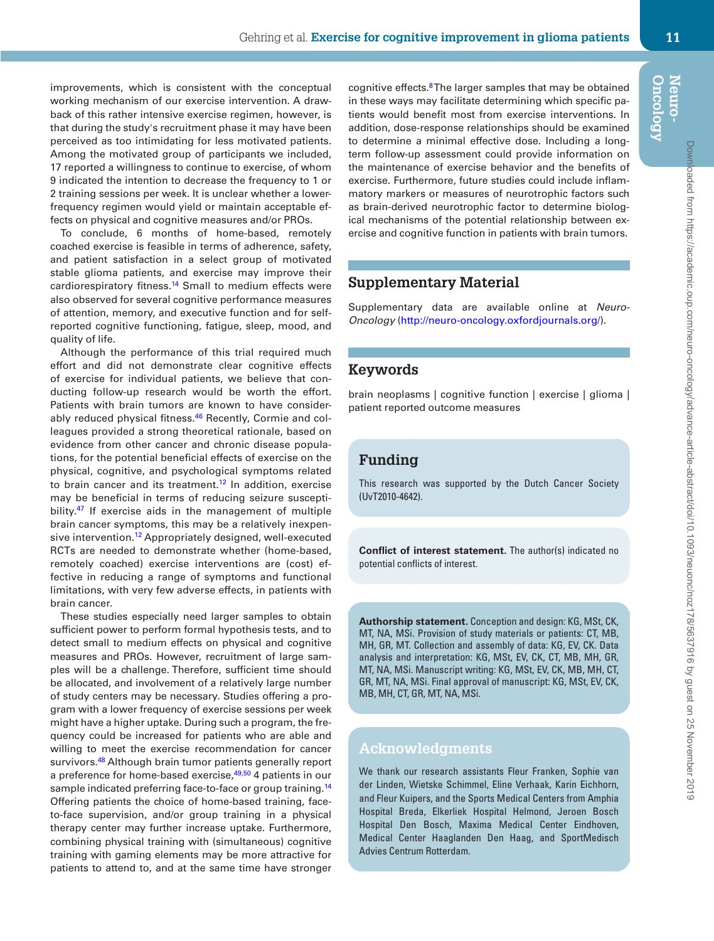improvements, which is consistent with the conceptual working mechanism of our exercise intervention. A drawback of this rather intensive exercise regimen, however, is that during the study's recruitment phase it may have been perceived as too intimidating for less motivated patients. Among the motivated group of participants we included, 17 reported a willingness to continue to exercise, of whom 9 indicated the intention to decrease the frequency to 1 or 2 training sessions per week. It is unclear whether a lowerfrequency regimen would yield or maintain acceptable effects on physical and cognitive measures and/or PROs.

To conclude, 6 months of home-based, remotely coached exercise is feasible in terms of adherence, safety, and patient satisfaction in a select group of motivated stable glioma patients, and exercise may improve their cardiorespiratory fitness.<sup>14</sup> Small to medium effects were also observed for several cognitive performance measures of attention, memory, and executive function and for selfreported cognitive functioning, fatigue, sleep, mood, and quality of life.

Although the performance of this trial required much effort and did not demonstrate clear cognitive effects of exercise for individual patients, we believe that conducting follow-up research would be worth the effort. Patients with brain tumors are known to have considerably reduced physical fitness.<sup>46</sup> Recently, Cormie and colleagues provided a strong theoretical rationale, based on evidence from other cancer and chronic disease populations, for the potential beneficial effects of exercise on the physical, cognitive, and psychological symptoms related to brain cancer and its treatment.<sup>12</sup> In addition, exercise may be beneficial in terms of reducing seizure suscepti-bility.<sup>[47](#page-13-4)</sup> If exercise aids in the management of multiple brain cancer symptoms, this may be a relatively inexpen-sive intervention.<sup>[12](#page-12-33)</sup> Appropriately designed, well-executed RCTs are needed to demonstrate whether (home-based, remotely coached) exercise interventions are (cost) effective in reducing a range of symptoms and functional limitations, with very few adverse effects, in patients with brain cancer.

These studies especially need larger samples to obtain sufficient power to perform formal hypothesis tests, and to detect small to medium effects on physical and cognitive measures and PROs. However, recruitment of large samples will be a challenge. Therefore, sufficient time should be allocated, and involvement of a relatively large number of study centers may be necessary. Studies offering a program with a lower frequency of exercise sessions per week might have a higher uptake. During such a program, the frequency could be increased for patients who are able and willing to meet the exercise recommendation for cancer survivors.<sup>48</sup> Although brain tumor patients generally report a preference for home-based exercise, [49](#page-13-6)[,50](#page-13-7) 4 patients in our sample indicated preferring face-to-face or group training.<sup>[14](#page-12-7)</sup> Offering patients the choice of home-based training, faceto-face supervision, and/or group training in a physical therapy center may further increase uptake. Furthermore, combining physical training with (simultaneous) cognitive training with gaming elements may be more attractive for patients to attend to, and at the same time have stronger

cognitive effects.<sup>8</sup> The larger samples that may be obtained in these ways may facilitate determining which specific patients would benefit most from exercise interventions. In addition, dose-response relationships should be examined to determine a minimal effective dose. Including a longterm follow-up assessment could provide information on the maintenance of exercise behavior and the benefits of exercise. Furthermore, future studies could include inflammatory markers or measures of neurotrophic factors such as brain-derived neurotrophic factor to determine biological mechanisms of the potential relationship between exercise and cognitive function in patients with brain tumors.

# **Supplementary Material**

Supplementary data are available online at *Neuro-Oncology* (<http://neuro-oncology.oxfordjournals.org/>).

## **Keywords**

brain neoplasms | cognitive function | exercise | glioma | patient reported outcome measures

# **Funding**

This research was supported by the Dutch Cancer Society (UvT2010-4642).

**Conflict of interest statement.** The author(s) indicated no potential conflicts of interest.

**Authorship statement.** Conception and design: KG, MSt, CK, MT, NA, MSi. Provision of study materials or patients: CT, MB, MH, GR, MT. Collection and assembly of data: KG, EV, CK. Data analysis and interpretation: KG, MSt, EV, CK, CT, MB, MH, GR, MT, NA, MSi. Manuscript writing: KG, MSt, EV, CK, MB, MH, CT, GR, MT, NA, MSi. Final approval of manuscript: KG, MSt, EV, CK, MB, MH, CT, GR, MT, NA, MSi.

# **Acknowledgments**

We thank our research assistants Fleur Franken, Sophie van der Linden, Wietske Schimmel, Eline Verhaak, Karin Eichhorn, and Fleur Kuipers, and the Sports Medical Centers from Amphia Hospital Breda, Elkerliek Hospital Helmond, Jeroen Bosch Hospital Den Bosch, Maxima Medical Center Eindhoven, Medical Center Haaglanden Den Haag, and SportMedisch Advies Centrum Rotterdam.

**Oncology Neuro-**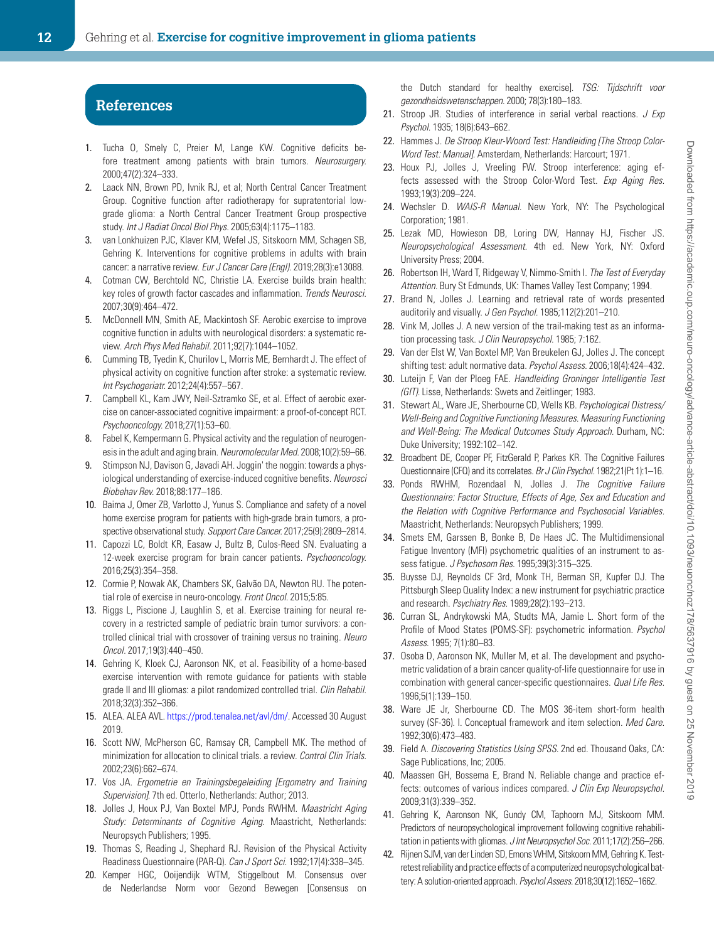# **References**

- <span id="page-12-0"></span>1. Tucha O, Smely C, Preier M, Lange KW. Cognitive deficits before treatment among patients with brain tumors. *Neurosurgery.* 2000;47(2):324–333.
- <span id="page-12-1"></span>2. Laack NN, Brown PD, Ivnik RJ, et al; North Central Cancer Treatment Group. Cognitive function after radiotherapy for supratentorial lowgrade glioma: a North Central Cancer Treatment Group prospective study. *Int J Radiat Oncol Biol Phys.* 2005;63(4):1175–1183.
- <span id="page-12-2"></span>3. van Lonkhuizen PJC, Klaver KM, Wefel JS, Sitskoorn MM, Schagen SB, Gehring K. Interventions for cognitive problems in adults with brain cancer: a narrative review. *Eur J Cancer Care (Engl).* 2019;28(3):e13088.
- <span id="page-12-3"></span>4. Cotman CW, Berchtold NC, Christie LA. Exercise builds brain health: key roles of growth factor cascades and inflammation. *Trends Neurosci.* 2007;30(9):464–472.
- 5. McDonnell MN, Smith AE, Mackintosh SF. Aerobic exercise to improve cognitive function in adults with neurological disorders: a systematic review. *Arch Phys Med Rehabil.* 2011;92(7):1044–1052.
- 6. Cumming TB, Tyedin K, Churilov L, Morris ME, Bernhardt J. The effect of physical activity on cognitive function after stroke: a systematic review. *Int Psychogeriatr.* 2012;24(4):557–567.
- 7. Campbell KL, Kam JWY, Neil-Sztramko SE, et al. Effect of aerobic exercise on cancer-associated cognitive impairment: a proof-of-concept RCT. *Psychooncology.* 2018;27(1):53–60.
- <span id="page-12-4"></span>8. Fabel K, Kempermann G. Physical activity and the regulation of neurogenesis in the adult and aging brain. *Neuromolecular Med.* 2008;10(2):59–66.
- <span id="page-12-5"></span>9. Stimpson NJ, Davison G, Javadi AH. Joggin' the noggin: towards a physiological understanding of exercise-induced cognitive benefits. *Neurosci Biobehav Rev.* 2018;88:177–186.
- 10. Baima J, Omer ZB, Varlotto J, Yunus S. Compliance and safety of a novel home exercise program for patients with high-grade brain tumors, a prospective observational study. *Support Care Cancer.* 2017;25(9):2809–2814.
- 11. Capozzi LC, Boldt KR, Easaw J, Bultz B, Culos-Reed SN. Evaluating a 12-week exercise program for brain cancer patients. *Psychooncology.* 2016;25(3):354–358.
- <span id="page-12-33"></span>12. Cormie P, Nowak AK, Chambers SK, Galvão DA, Newton RU. The potential role of exercise in neuro-oncology. *Front Oncol.* 2015;5:85.
- <span id="page-12-6"></span>13. Riggs L, Piscione J, Laughlin S, et al. Exercise training for neural recovery in a restricted sample of pediatric brain tumor survivors: a controlled clinical trial with crossover of training versus no training. *Neuro Oncol.* 2017;19(3):440–450.
- <span id="page-12-7"></span>14. Gehring K, Kloek CJ, Aaronson NK, et al. Feasibility of a home-based exercise intervention with remote guidance for patients with stable grade II and III gliomas: a pilot randomized controlled trial. *Clin Rehabil.* 2018;32(3):352–366.
- <span id="page-12-8"></span>15. ALEA*.* ALEA AVL.<https://prod.tenalea.net/avl/dm>[/.](http:///) Accessed 30 August 2019.
- <span id="page-12-9"></span>16. Scott NW, McPherson GC, Ramsay CR, Campbell MK. The method of minimization for allocation to clinical trials. a review. *Control Clin Trials.* 2002;23(6):662–674.
- <span id="page-12-10"></span>17. Vos JA. *Ergometrie en Trainingsbegeleiding [Ergometry and Training Supervision]*. 7th ed. Otterlo, Netherlands: Author; 2013.
- <span id="page-12-11"></span>18. Jolles J, Houx PJ, Van Boxtel MPJ, Ponds RWHM. *Maastricht Aging Study: Determinants of Cognitive Aging.* Maastricht, Netherlands: Neuropsych Publishers; 1995.
- <span id="page-12-12"></span>19. Thomas S, Reading J, Shephard RJ. Revision of the Physical Activity Readiness Questionnaire (PAR-Q). *Can J Sport Sci.* 1992;17(4):338–345.
- <span id="page-12-13"></span>20. Kemper HGC, Ooijendijk WTM, Stiggelbout M. Consensus over de Nederlandse Norm voor Gezond Bewegen [Consensus on

the Dutch standard for healthy exercise]. *TSG: Tijdschrift voor gezondheidswetenschappen*. 2000; 78(3):180–183.

- 21. Stroop JR. Studies of interference in serial verbal reactions. *J Exp Psychol*. 1935; 18(6):643–662.
- 22. Hammes J. *De Stroop Kleur-Woord Test: Handleiding [The Stroop Color-Word Test: Manual]*. Amsterdam, Netherlands: Harcourt; 1971.
- 23. Houx PJ, Jolles J, Vreeling FW. Stroop interference: aging effects assessed with the Stroop Color-Word Test. *Exp Aging Res.* 1993;19(3):209–224.
- <span id="page-12-15"></span>24. Wechsler D. *WAIS-R Manual.* New York, NY: The Psychological Corporation; 1981.
- <span id="page-12-16"></span>25. Lezak MD, Howieson DB, Loring DW, Hannay HJ, Fischer JS. *Neuropsychological Assessment.* 4th ed. New York, NY: Oxford University Press; 2004.
- <span id="page-12-17"></span>26. Robertson IH, Ward T, Ridgeway V, Nimmo-Smith I. *The Test of Everyday Attention.* Bury St Edmunds, UK: Thames Valley Test Company; 1994.
- <span id="page-12-18"></span>27. Brand N, Jolles J. Learning and retrieval rate of words presented auditorily and visually. *J Gen Psychol.* 1985;112(2):201–210.
- <span id="page-12-19"></span>28. Vink M, Jolles J. A new version of the trail-making test as an information processing task. *J Clin Neuropsychol*. 1985; 7:162.
- <span id="page-12-20"></span>29. Van der Elst W, Van Boxtel MP, Van Breukelen GJ, Jolles J. The concept shifting test: adult normative data. *Psychol Assess.* 2006;18(4):424–432.
- <span id="page-12-21"></span>30. Luteijn F, Van der Ploeg FAE. *Handleiding Groninger Intelligentie Test (GIT)*. Lisse, Netherlands: Swets and Zeitlinger; 1983.
- <span id="page-12-22"></span>31. Stewart AL, Ware JE, Sherbourne CD, Wells KB. *Psychological Distress/ Well-Being and Cognitive Functioning Measures. Measuring Functioning and Well-Being: The Medical Outcomes Study Approach.* Durham, NC: Duke University; 1992:102–142.
- <span id="page-12-23"></span>32. Broadbent DE, Cooper PF, FitzGerald P, Parkes KR. The Cognitive Failures Questionnaire (CFQ) and its correlates. *Br J Clin Psychol.* 1982;21(Pt 1):1–16.
- <span id="page-12-24"></span>33. Ponds RWHM, Rozendaal N, Jolles J. *The Cognitive Failure Questionnaire: Factor Structure, Effects of Age, Sex and Education and the Relation with Cognitive Performance and Psychosocial Variables.* Maastricht, Netherlands: Neuropsych Publishers; 1999.
- <span id="page-12-25"></span>34. Smets EM, Garssen B, Bonke B, De Haes JC. The Multidimensional Fatigue Inventory (MFI) psychometric qualities of an instrument to assess fatigue. *J Psychosom Res.* 1995;39(3):315–325.
- <span id="page-12-26"></span>35. Buysse DJ, Reynolds CF 3rd, Monk TH, Berman SR, Kupfer DJ. The Pittsburgh Sleep Quality Index: a new instrument for psychiatric practice and research. *Psychiatry Res.* 1989;28(2):193–213.
- <span id="page-12-30"></span>36. Curran SL, Andrykowski MA, Studts MA, Jamie L. Short form of the Profile of Mood States (POMS-SF): psychometric information. *Psychol Assess*. 1995; 7(1):80–83.
- <span id="page-12-31"></span>37. Osoba D, Aaronson NK, Muller M, et al. The development and psychometric validation of a brain cancer quality-of-life questionnaire for use in combination with general cancer-specific questionnaires. *Qual Life Res.* 1996;5(1):139–150.
- <span id="page-12-32"></span>38. Ware JE Jr, Sherbourne CD. The MOS 36-item short-form health survey (SF-36). I. Conceptual framework and item selection. *Med Care.* 1992;30(6):473–483.
- <span id="page-12-14"></span>39. Field A. *Discovering Statistics Using SPSS.* 2nd ed. Thousand Oaks, CA: Sage Publications, Inc; 2005.
- <span id="page-12-27"></span>40. Maassen GH, Bossema E, Brand N. Reliable change and practice effects: outcomes of various indices compared. *J Clin Exp Neuropsychol.* 2009;31(3):339–352.
- <span id="page-12-28"></span>41. Gehring K, Aaronson NK, Gundy CM, Taphoorn MJ, Sitskoorn MM. Predictors of neuropsychological improvement following cognitive rehabilitation in patients with gliomas. *J Int Neuropsychol Soc.* 2011;17(2):256–266.
- <span id="page-12-29"></span>42. Rijnen SJM, van der Linden SD, Emons WHM, Sitskoorn MM, Gehring K. Testretest reliability and practice effects of a computerized neuropsychological battery: A solution-oriented approach. *Psychol Assess.* 2018;30(12):1652–1662.